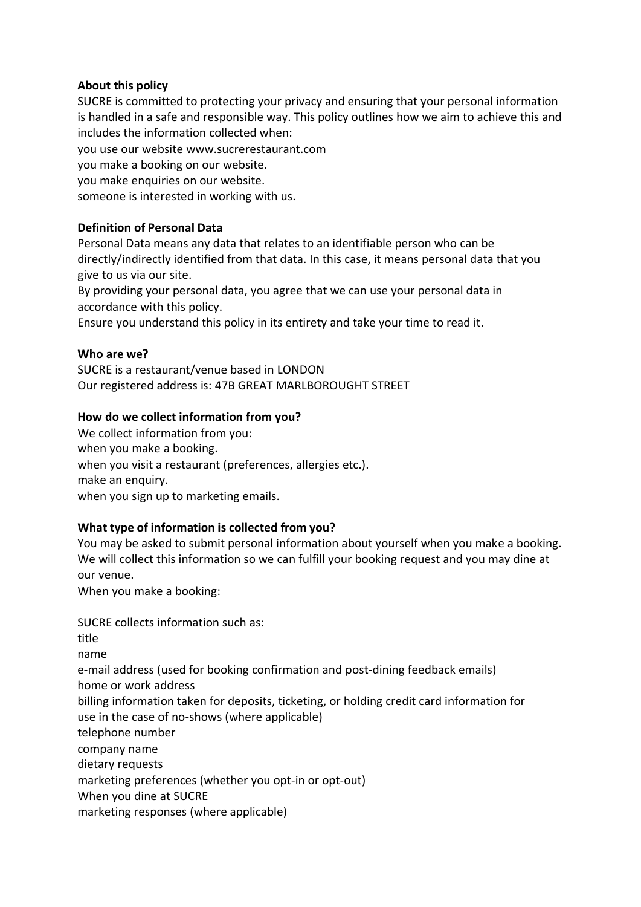## **About this policy**

SUCRE is committed to protecting your privacy and ensuring that your personal information is handled in a safe and responsible way. This policy outlines how we aim to achieve this and includes the information collected when:

you use our website www.sucrerestaurant.com

you make a booking on our website.

you make enquiries on our website.

someone is interested in working with us.

## **Definition of Personal Data**

Personal Data means any data that relates to an identifiable person who can be directly/indirectly identified from that data. In this case, it means personal data that you give to us via our site.

By providing your personal data, you agree that we can use your personal data in accordance with this policy.

Ensure you understand this policy in its entirety and take your time to read it.

## **Who are we?**

SUCRE is a restaurant/venue based in LONDON Our registered address is: 47B GREAT MARLBOROUGHT STREET

# **How do we collect information from you?**

We collect information from you: when you make a booking. when you visit a restaurant (preferences, allergies etc.). make an enquiry. when you sign up to marketing emails.

# **What type of information is collected from you?**

You may be asked to submit personal information about yourself when you make a booking. We will collect this information so we can fulfill your booking request and you may dine at our venue.

When you make a booking:

SUCRE collects information such as: title name e-mail address (used for booking confirmation and post-dining feedback emails) home or work address billing information taken for deposits, ticketing, or holding credit card information for use in the case of no-shows (where applicable) telephone number company name dietary requests marketing preferences (whether you opt-in or opt-out) When you dine at SUCRE marketing responses (where applicable)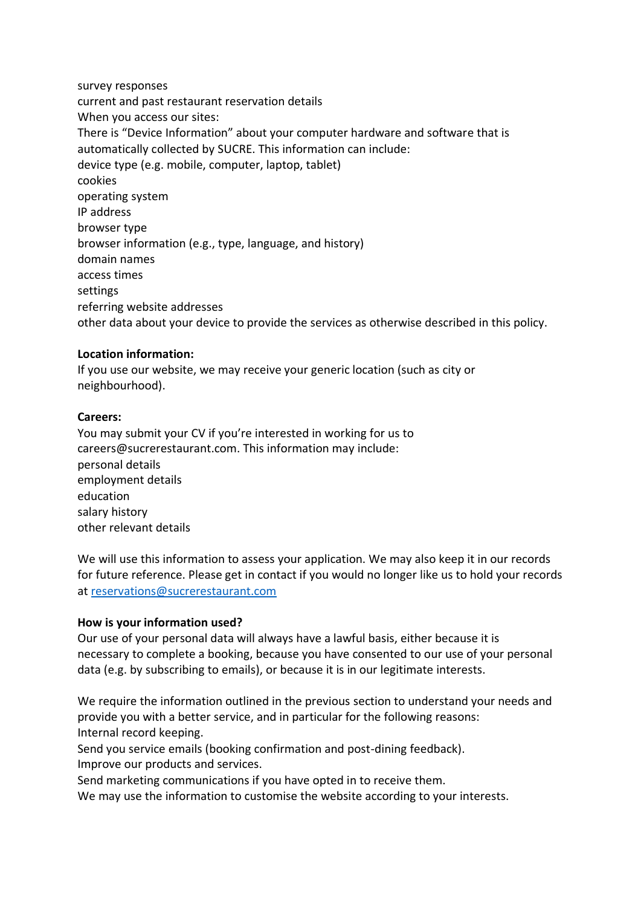survey responses current and past restaurant reservation details When you access our sites: There is "Device Information" about your computer hardware and software that is automatically collected by SUCRE. This information can include: device type (e.g. mobile, computer, laptop, tablet) cookies operating system IP address browser type browser information (e.g., type, language, and history) domain names access times settings referring website addresses other data about your device to provide the services as otherwise described in this policy.

## **Location information:**

If you use our website, we may receive your generic location (such as city or neighbourhood).

### **Careers:**

You may submit your CV if you're interested in working for us to careers@sucrerestaurant.com. This information may include: personal details employment details education salary history other relevant details

We will use this information to assess your application. We may also keep it in our records for future reference. Please get in contact if you would no longer like us to hold your records at [reservations@sucrerestaurant.com](mailto:reservations@sucrerestaurant.com)

### **How is your information used?**

Our use of your personal data will always have a lawful basis, either because it is necessary to complete a booking, because you have consented to our use of your personal data (e.g. by subscribing to emails), or because it is in our legitimate interests.

We require the information outlined in the previous section to understand your needs and provide you with a better service, and in particular for the following reasons: Internal record keeping.

Send you service emails (booking confirmation and post-dining feedback). Improve our products and services.

Send marketing communications if you have opted in to receive them.

We may use the information to customise the website according to your interests.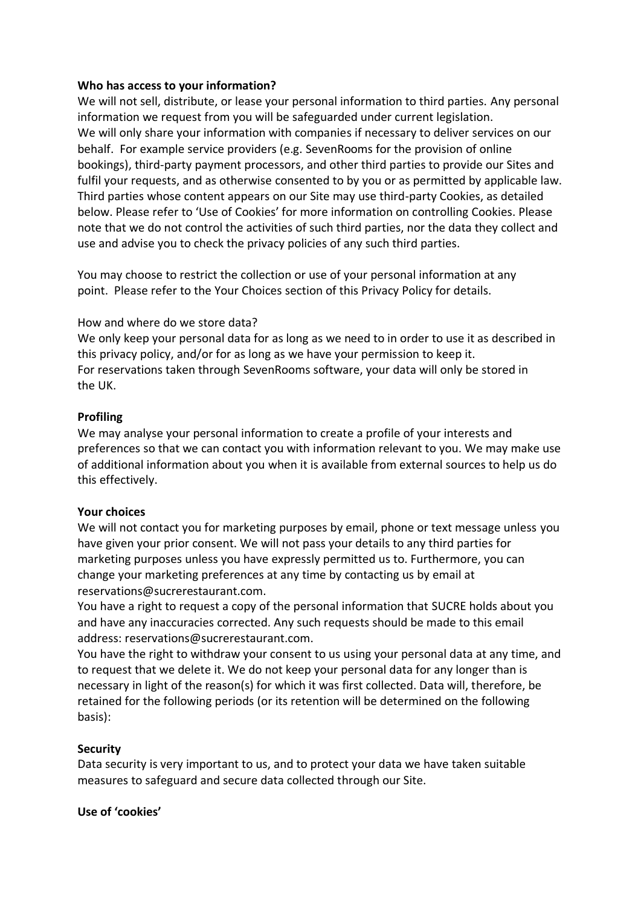### **Who has access to your information?**

We will not sell, distribute, or lease your personal information to third parties. Any personal information we request from you will be safeguarded under current legislation. We will only share your information with companies if necessary to deliver services on our behalf. For example service providers (e.g. SevenRooms for the provision of online bookings), third-party payment processors, and other third parties to provide our Sites and fulfil your requests, and as otherwise consented to by you or as permitted by applicable law. Third parties whose content appears on our Site may use third-party Cookies, as detailed below. Please refer to 'Use of Cookies' for more information on controlling Cookies. Please note that we do not control the activities of such third parties, nor the data they collect and use and advise you to check the privacy policies of any such third parties.

You may choose to restrict the collection or use of your personal information at any point. Please refer to the Your Choices section of this Privacy Policy for details.

# How and where do we store data?

We only keep your personal data for as long as we need to in order to use it as described in this privacy policy, and/or for as long as we have your permission to keep it. For reservations taken through SevenRooms software, your data will only be stored in the UK.

## **Profiling**

We may analyse your personal information to create a profile of your interests and preferences so that we can contact you with information relevant to you. We may make use of additional information about you when it is available from external sources to help us do this effectively.

### **Your choices**

We will not contact you for marketing purposes by email, phone or text message unless you have given your prior consent. We will not pass your details to any third parties for marketing purposes unless you have expressly permitted us to. Furthermore, you can change your marketing preferences at any time by contacting us by email at reservations@sucrerestaurant.com.

You have a right to request a copy of the personal information that SUCRE holds about you and have any inaccuracies corrected. Any such requests should be made to this email address: reservations@sucrerestaurant.com.

You have the right to withdraw your consent to us using your personal data at any time, and to request that we delete it. We do not keep your personal data for any longer than is necessary in light of the reason(s) for which it was first collected. Data will, therefore, be retained for the following periods (or its retention will be determined on the following basis):

# **Security**

Data security is very important to us, and to protect your data we have taken suitable measures to safeguard and secure data collected through our Site.

### **Use of 'cookies'**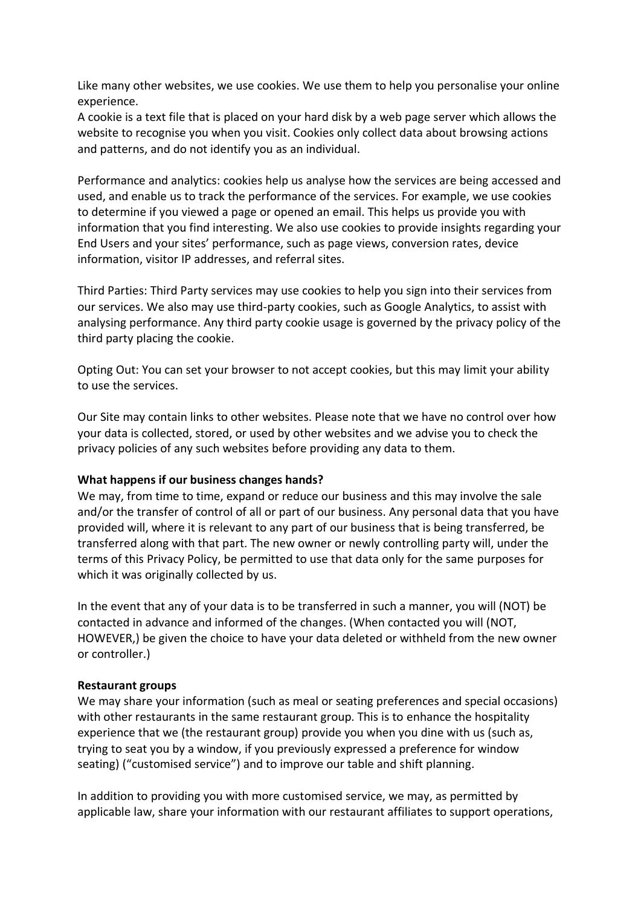Like many other websites, we use cookies. We use them to help you personalise your online experience.

A cookie is a text file that is placed on your hard disk by a web page server which allows the website to recognise you when you visit. Cookies only collect data about browsing actions and patterns, and do not identify you as an individual.

Performance and analytics: cookies help us analyse how the services are being accessed and used, and enable us to track the performance of the services. For example, we use cookies to determine if you viewed a page or opened an email. This helps us provide you with information that you find interesting. We also use cookies to provide insights regarding your End Users and your sites' performance, such as page views, conversion rates, device information, visitor IP addresses, and referral sites.

Third Parties: Third Party services may use cookies to help you sign into their services from our services. We also may use third-party cookies, such as Google Analytics, to assist with analysing performance. Any third party cookie usage is governed by the privacy policy of the third party placing the cookie.

Opting Out: You can set your browser to not accept cookies, but this may limit your ability to use the services.

Our Site may contain links to other websites. Please note that we have no control over how your data is collected, stored, or used by other websites and we advise you to check the privacy policies of any such websites before providing any data to them.

### **What happens if our business changes hands?**

We may, from time to time, expand or reduce our business and this may involve the sale and/or the transfer of control of all or part of our business. Any personal data that you have provided will, where it is relevant to any part of our business that is being transferred, be transferred along with that part. The new owner or newly controlling party will, under the terms of this Privacy Policy, be permitted to use that data only for the same purposes for which it was originally collected by us.

In the event that any of your data is to be transferred in such a manner, you will (NOT) be contacted in advance and informed of the changes. (When contacted you will (NOT, HOWEVER,) be given the choice to have your data deleted or withheld from the new owner or controller.)

### **Restaurant groups**

We may share your information (such as meal or seating preferences and special occasions) with other restaurants in the same restaurant group. This is to enhance the hospitality experience that we (the restaurant group) provide you when you dine with us (such as, trying to seat you by a window, if you previously expressed a preference for window seating) ("customised service") and to improve our table and shift planning.

In addition to providing you with more customised service, we may, as permitted by applicable law, share your information with our restaurant affiliates to support operations,